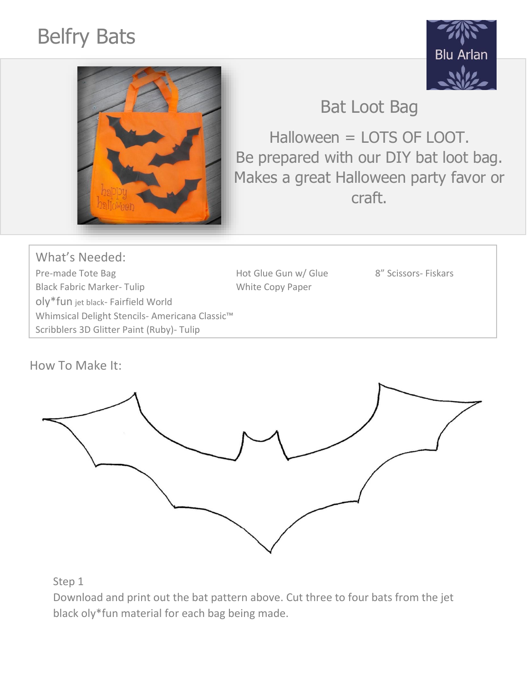## Belfry Bats





Bat Loot Bag

Halloween = LOTS OF LOOT. Be prepared with our DIY bat loot bag. Makes a great Halloween party favor or craft.

What's Needed: Pre-made Tote Bag The Bag Ford Controller Hot Glue Gun w/ Glue 8" Scissors- Fiskars Black Fabric Marker- Tulip White Copy Paper oly\*fun jet black- Fairfield World Whimsical Delight Stencils- Americana Classic™ Scribblers 3D Glitter Paint (Ruby)- Tulip

How To Make It:



Step 1

Download and print out the bat pattern above. Cut three to four bats from the jet black oly\*fun material for each bag being made.